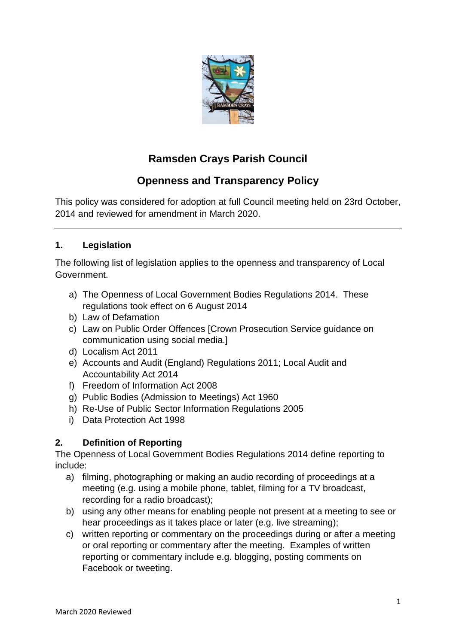

# **Ramsden Crays Parish Council**

# **Openness and Transparency Policy**

This policy was considered for adoption at full Council meeting held on 23rd October, 2014 and reviewed for amendment in March 2020.

# **1. Legislation**

The following list of legislation applies to the openness and transparency of Local Government.

- a) The Openness of Local Government Bodies Regulations 2014. These regulations took effect on 6 August 2014
- b) Law of Defamation
- c) Law on Public Order Offences [Crown Prosecution Service guidance on communication using social media.]
- d) Localism Act 2011
- e) Accounts and Audit (England) Regulations 2011; Local Audit and Accountability Act 2014
- f) Freedom of Information Act 2008
- g) Public Bodies (Admission to Meetings) Act 1960
- h) Re-Use of Public Sector Information Regulations 2005
- i) Data Protection Act 1998

# **2. Definition of Reporting**

The Openness of Local Government Bodies Regulations 2014 define reporting to include:

- a) filming, photographing or making an audio recording of proceedings at a meeting (e.g. using a mobile phone, tablet, filming for a TV broadcast, recording for a radio broadcast);
- b) using any other means for enabling people not present at a meeting to see or hear proceedings as it takes place or later (e.g. live streaming);
- c) written reporting or commentary on the proceedings during or after a meeting or oral reporting or commentary after the meeting. Examples of written reporting or commentary include e.g. blogging, posting comments on Facebook or tweeting.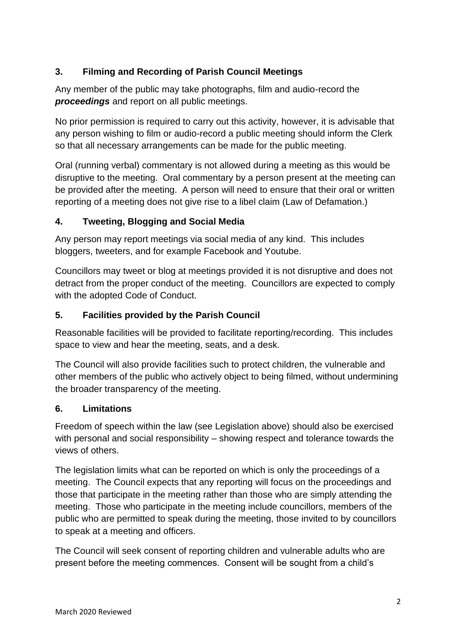# **3. Filming and Recording of Parish Council Meetings**

Any member of the public may take photographs, film and audio-record the *proceedings* and report on all public meetings.

No prior permission is required to carry out this activity, however, it is advisable that any person wishing to film or audio-record a public meeting should inform the Clerk so that all necessary arrangements can be made for the public meeting.

Oral (running verbal) commentary is not allowed during a meeting as this would be disruptive to the meeting. Oral commentary by a person present at the meeting can be provided after the meeting. A person will need to ensure that their oral or written reporting of a meeting does not give rise to a libel claim (Law of Defamation.)

#### **4. Tweeting, Blogging and Social Media**

Any person may report meetings via social media of any kind. This includes bloggers, tweeters, and for example Facebook and Youtube.

Councillors may tweet or blog at meetings provided it is not disruptive and does not detract from the proper conduct of the meeting. Councillors are expected to comply with the adopted Code of Conduct.

## **5. Facilities provided by the Parish Council**

Reasonable facilities will be provided to facilitate reporting/recording. This includes space to view and hear the meeting, seats, and a desk.

The Council will also provide facilities such to protect children, the vulnerable and other members of the public who actively object to being filmed, without undermining the broader transparency of the meeting.

#### **6. Limitations**

Freedom of speech within the law (see Legislation above) should also be exercised with personal and social responsibility – showing respect and tolerance towards the views of others.

The legislation limits what can be reported on which is only the proceedings of a meeting. The Council expects that any reporting will focus on the proceedings and those that participate in the meeting rather than those who are simply attending the meeting. Those who participate in the meeting include councillors, members of the public who are permitted to speak during the meeting, those invited to by councillors to speak at a meeting and officers.

The Council will seek consent of reporting children and vulnerable adults who are present before the meeting commences. Consent will be sought from a child's